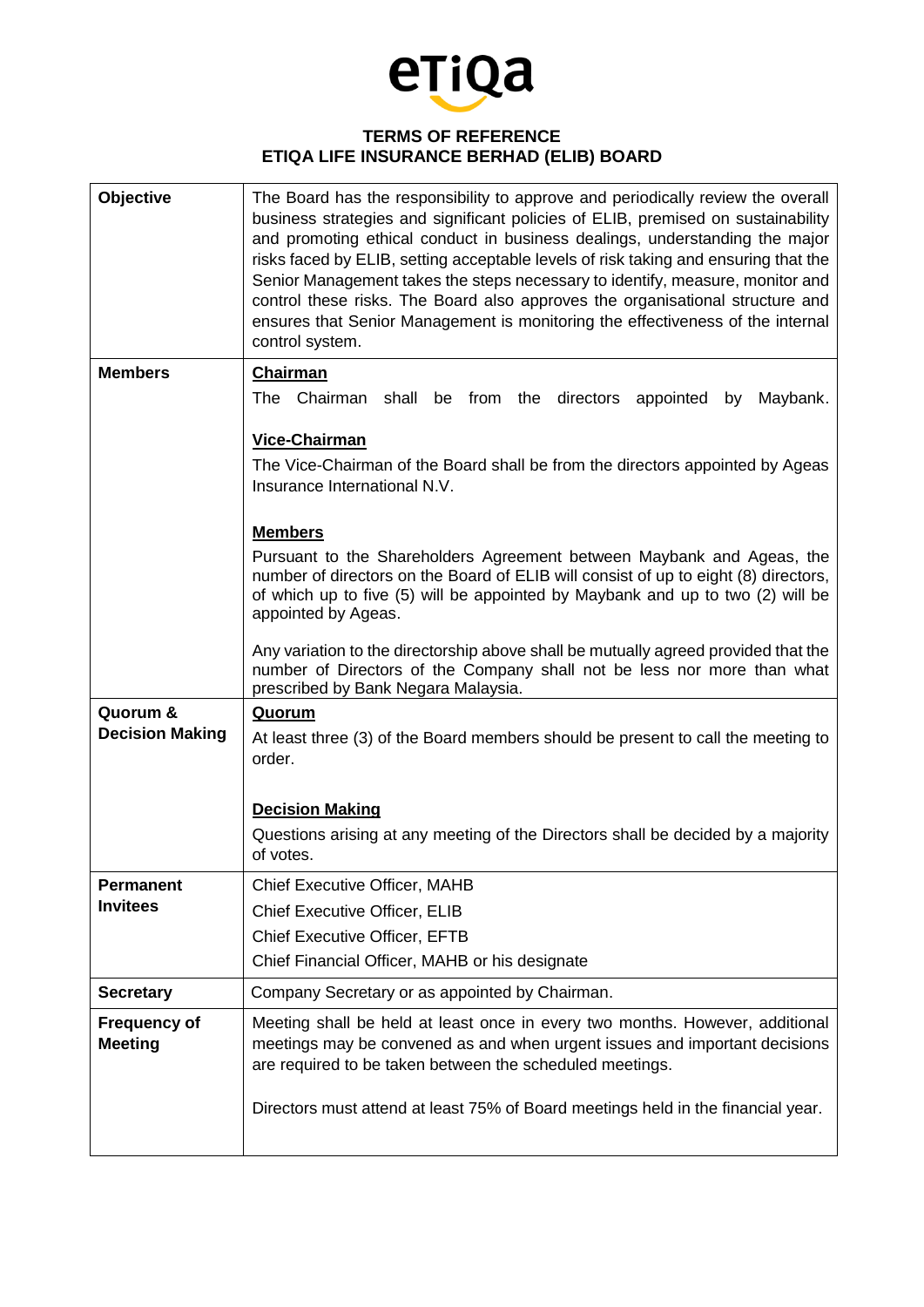

## **TERMS OF REFERENCE ETIQA LIFE INSURANCE BERHAD (ELIB) BOARD**

| Objective                             | The Board has the responsibility to approve and periodically review the overall<br>business strategies and significant policies of ELIB, premised on sustainability<br>and promoting ethical conduct in business dealings, understanding the major<br>risks faced by ELIB, setting acceptable levels of risk taking and ensuring that the<br>Senior Management takes the steps necessary to identify, measure, monitor and<br>control these risks. The Board also approves the organisational structure and<br>ensures that Senior Management is monitoring the effectiveness of the internal<br>control system. |
|---------------------------------------|------------------------------------------------------------------------------------------------------------------------------------------------------------------------------------------------------------------------------------------------------------------------------------------------------------------------------------------------------------------------------------------------------------------------------------------------------------------------------------------------------------------------------------------------------------------------------------------------------------------|
| <b>Members</b>                        | <b>Chairman</b><br>The<br>Chairman shall be from the directors appointed                                                                                                                                                                                                                                                                                                                                                                                                                                                                                                                                         |
|                                       | Maybank.<br>by<br>Vice-Chairman<br>The Vice-Chairman of the Board shall be from the directors appointed by Ageas<br>Insurance International N.V.<br><b>Members</b><br>Pursuant to the Shareholders Agreement between Maybank and Ageas, the<br>number of directors on the Board of ELIB will consist of up to eight (8) directors,<br>of which up to five (5) will be appointed by Maybank and up to two (2) will be<br>appointed by Ageas.<br>Any variation to the directorship above shall be mutually agreed provided that the<br>number of Directors of the Company shall not be less nor more than what     |
|                                       | prescribed by Bank Negara Malaysia.                                                                                                                                                                                                                                                                                                                                                                                                                                                                                                                                                                              |
| Quorum &<br><b>Decision Making</b>    | <b>Quorum</b><br>At least three (3) of the Board members should be present to call the meeting to<br>order.                                                                                                                                                                                                                                                                                                                                                                                                                                                                                                      |
|                                       | <b>Decision Making</b>                                                                                                                                                                                                                                                                                                                                                                                                                                                                                                                                                                                           |
|                                       | Questions arising at any meeting of the Directors shall be decided by a majority<br>of votes.                                                                                                                                                                                                                                                                                                                                                                                                                                                                                                                    |
| Permanent                             | <b>Chief Executive Officer, MAHB</b>                                                                                                                                                                                                                                                                                                                                                                                                                                                                                                                                                                             |
| <b>Invitees</b>                       | Chief Executive Officer, ELIB                                                                                                                                                                                                                                                                                                                                                                                                                                                                                                                                                                                    |
|                                       | <b>Chief Executive Officer, EFTB</b>                                                                                                                                                                                                                                                                                                                                                                                                                                                                                                                                                                             |
|                                       | Chief Financial Officer, MAHB or his designate                                                                                                                                                                                                                                                                                                                                                                                                                                                                                                                                                                   |
| <b>Secretary</b>                      | Company Secretary or as appointed by Chairman.                                                                                                                                                                                                                                                                                                                                                                                                                                                                                                                                                                   |
| <b>Frequency of</b><br><b>Meeting</b> | Meeting shall be held at least once in every two months. However, additional<br>meetings may be convened as and when urgent issues and important decisions<br>are required to be taken between the scheduled meetings.                                                                                                                                                                                                                                                                                                                                                                                           |
|                                       | Directors must attend at least 75% of Board meetings held in the financial year.                                                                                                                                                                                                                                                                                                                                                                                                                                                                                                                                 |